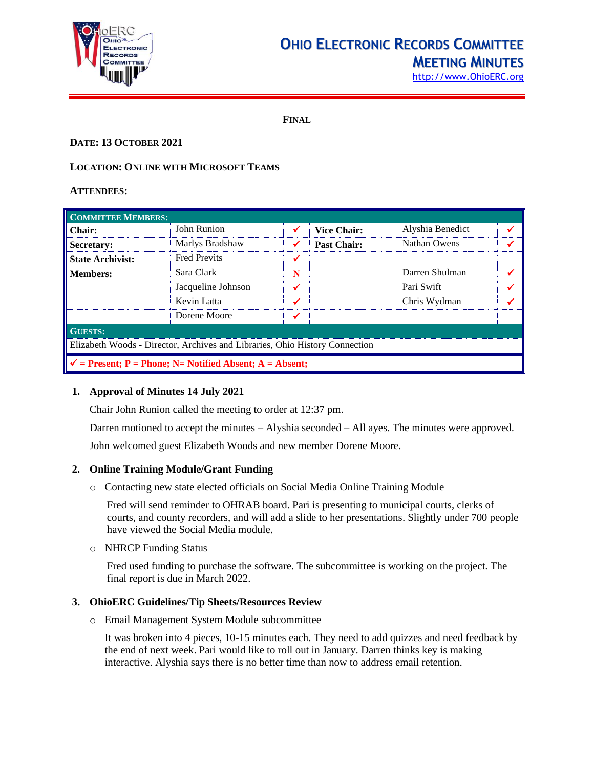

## **OHIO ELECTRONIC RECORDS COMMITTEE MEETING MINUTES**

[http://www.OhioERC.org](http://www.ohioerc.org/)

**FINAL**

## **DATE: 13 OCTOBER 2021**

## **LOCATION: ONLINE WITH MICROSOFT TEAMS**

## **ATTENDEES:**

| <b>COMMITTEE MEMBERS:</b>                                                   |                     |   |                    |                  |   |  |
|-----------------------------------------------------------------------------|---------------------|---|--------------------|------------------|---|--|
| Chair:                                                                      | John Runion         | ✔ | <b>Vice Chair:</b> | Alyshia Benedict |   |  |
| <b>Secretary:</b>                                                           | Marlys Bradshaw     | ✔ | <b>Past Chair:</b> | Nathan Owens     |   |  |
| <b>State Archivist:</b>                                                     | <b>Fred Previts</b> | ✓ |                    |                  |   |  |
| <b>Members:</b>                                                             | Sara Clark          | N |                    | Darren Shulman   |   |  |
|                                                                             | Jacqueline Johnson  | ✔ |                    | Pari Swift       | ✔ |  |
|                                                                             | Kevin Latta         | ✔ |                    | Chris Wydman     |   |  |
|                                                                             | Dorene Moore        |   |                    |                  |   |  |
| <b>GUESTS:</b>                                                              |                     |   |                    |                  |   |  |
| Elizabeth Woods - Director, Archives and Libraries, Ohio History Connection |                     |   |                    |                  |   |  |
| $\checkmark$ = Present; P = Phone; N = Notified Absent; A = Absent;         |                     |   |                    |                  |   |  |

## **1. Approval of Minutes 14 July 2021**

Chair John Runion called the meeting to order at 12:37 pm.

Darren motioned to accept the minutes – Alyshia seconded – All ayes. The minutes were approved.

John welcomed guest Elizabeth Woods and new member Dorene Moore.

## **2. Online Training Module/Grant Funding**

o Contacting new state elected officials on Social Media Online Training Module

Fred will send reminder to OHRAB board. Pari is presenting to municipal courts, clerks of courts, and county recorders, and will add a slide to her presentations. Slightly under 700 people have viewed the Social Media module.

o NHRCP Funding Status

Fred used funding to purchase the software. The subcommittee is working on the project. The final report is due in March 2022.

## **3. OhioERC Guidelines/Tip Sheets/Resources Review**

o Email Management System Module subcommittee

It was broken into 4 pieces, 10-15 minutes each. They need to add quizzes and need feedback by the end of next week. Pari would like to roll out in January. Darren thinks key is making interactive. Alyshia says there is no better time than now to address email retention.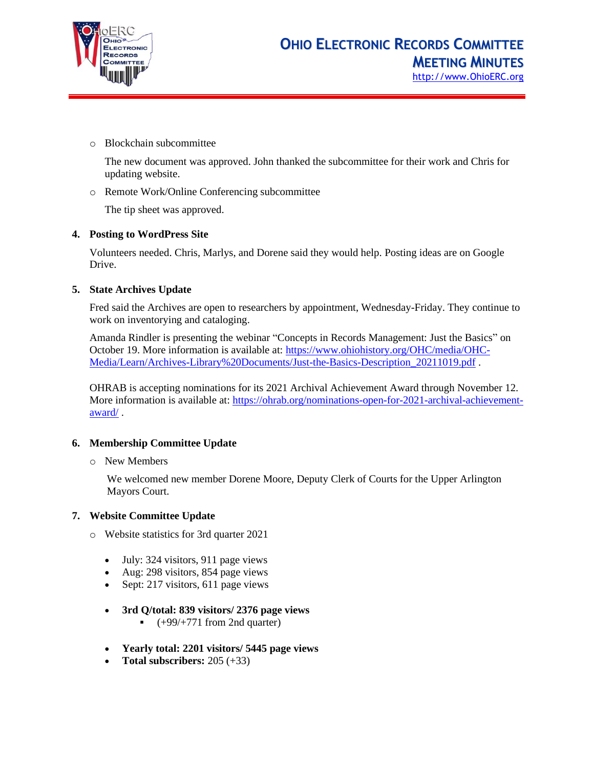

o Blockchain subcommittee

The new document was approved. John thanked the subcommittee for their work and Chris for updating website.

o Remote Work/Online Conferencing subcommittee

The tip sheet was approved.

## **4. Posting to WordPress Site**

Volunteers needed. Chris, Marlys, and Dorene said they would help. Posting ideas are on Google Drive.

## **5. State Archives Update**

Fred said the Archives are open to researchers by appointment, Wednesday-Friday. They continue to work on inventorying and cataloging.

Amanda Rindler is presenting the webinar "Concepts in Records Management: Just the Basics" on October 19. More information is available at: [https://www.ohiohistory.org/OHC/media/OHC-](https://www.ohiohistory.org/OHC/media/OHC-Media/Learn/Archives-Library%20Documents/Just-the-Basics-Description_20211019.pdf)[Media/Learn/Archives-Library%20Documents/Just-the-Basics-Description\\_20211019.pdf](https://www.ohiohistory.org/OHC/media/OHC-Media/Learn/Archives-Library%20Documents/Just-the-Basics-Description_20211019.pdf) .

OHRAB is accepting nominations for its 2021 Archival Achievement Award through November 12. More information is available at: [https://ohrab.org/nominations-open-for-2021-archival-achievement](https://ohrab.org/nominations-open-for-2021-archival-achievement-award/)[award/](https://ohrab.org/nominations-open-for-2021-archival-achievement-award/) .

## **6. Membership Committee Update**

o New Members

We welcomed new member Dorene Moore, Deputy Clerk of Courts for the Upper Arlington Mayors Court.

## **7. Website Committee Update**

- o Website statistics for 3rd quarter 2021
	- July: 324 visitors, 911 page views
	- Aug: 298 visitors, 854 page views
	- Sept: 217 visitors, 611 page views
	- **3rd Q/total: 839 visitors/ 2376 page views**
		- $\bullet$  (+99/+771 from 2nd quarter)
	- **Yearly total: 2201 visitors/ 5445 page views**
	- **Total subscribers:** 205 (+33)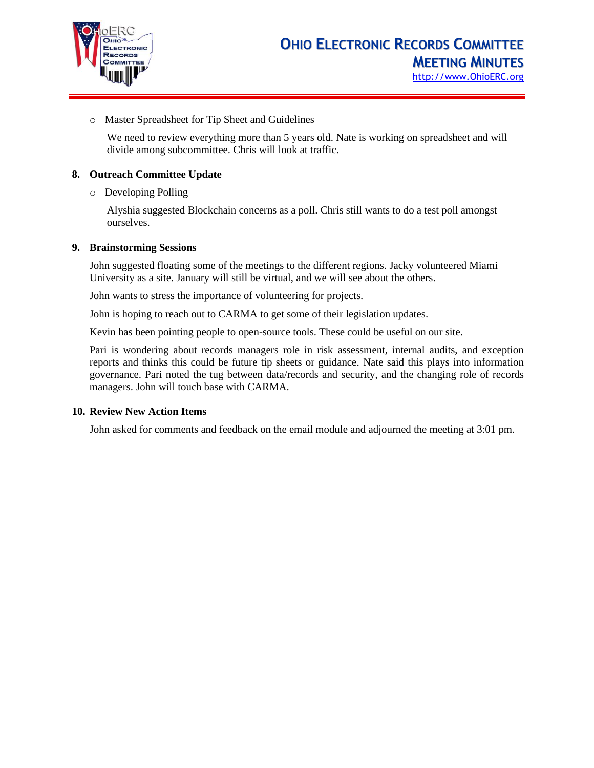

o Master Spreadsheet for Tip Sheet and Guidelines

We need to review everything more than 5 years old. Nate is working on spreadsheet and will divide among subcommittee. Chris will look at traffic.

## **8. Outreach Committee Update**

o Developing Polling

Alyshia suggested Blockchain concerns as a poll. Chris still wants to do a test poll amongst ourselves.

## **9. Brainstorming Sessions**

John suggested floating some of the meetings to the different regions. Jacky volunteered Miami University as a site. January will still be virtual, and we will see about the others.

John wants to stress the importance of volunteering for projects.

John is hoping to reach out to CARMA to get some of their legislation updates.

Kevin has been pointing people to open-source tools. These could be useful on our site.

Pari is wondering about records managers role in risk assessment, internal audits, and exception reports and thinks this could be future tip sheets or guidance. Nate said this plays into information governance. Pari noted the tug between data/records and security, and the changing role of records managers. John will touch base with CARMA.

## **10. Review New Action Items**

John asked for comments and feedback on the email module and adjourned the meeting at 3:01 pm.